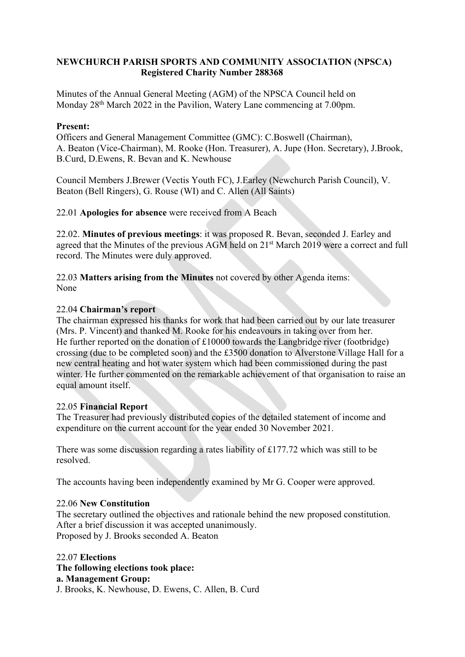# **NEWCHURCH PARISH SPORTS AND COMMUNITY ASSOCIATION (NPSCA) Registered Charity Number 288368**

Minutes of the Annual General Meeting (AGM) of the NPSCA Council held on Monday 28th March 2022 in the Pavilion, Watery Lane commencing at 7.00pm.

## **Present:**

Officers and General Management Committee (GMC): C.Boswell (Chairman), A. Beaton (Vice-Chairman), M. Rooke (Hon. Treasurer), A. Jupe (Hon. Secretary), J.Brook, B.Curd, D.Ewens, R. Bevan and K. Newhouse

Council Members J.Brewer (Vectis Youth FC), J.Earley (Newchurch Parish Council), V. Beaton (Bell Ringers), G. Rouse (WI) and C. Allen (All Saints)

22.01 **Apologies for absence** were received from A Beach

22.02. **Minutes of previous meetings**: it was proposed R. Bevan, seconded J. Earley and agreed that the Minutes of the previous AGM held on 21<sup>st</sup> March 2019 were a correct and full record. The Minutes were duly approved.

22.03 **Matters arising from the Minutes** not covered by other Agenda items: None

## 22.04 **Chairman's report**

The chairman expressed his thanks for work that had been carried out by our late treasurer (Mrs. P. Vincent) and thanked M. Rooke for his endeavours in taking over from her. He further reported on the donation of  $£10000$  towards the Langbridge river (footbridge) crossing (due to be completed soon) and the £3500 donation to Alverstone Village Hall for a new central heating and hot water system which had been commissioned during the past winter. He further commented on the remarkable achievement of that organisation to raise an equal amount itself.

### 22.05 **Financial Report**

The Treasurer had previously distributed copies of the detailed statement of income and expenditure on the current account for the year ended 30 November 2021.

There was some discussion regarding a rates liability of £177.72 which was still to be resolved.

The accounts having been independently examined by Mr G. Cooper were approved.

### 22.06 **New Constitution**

The secretary outlined the objectives and rationale behind the new proposed constitution. After a brief discussion it was accepted unanimously. Proposed by J. Brooks seconded A. Beaton

22.07 **Elections The following elections took place: a. Management Group:** J. Brooks, K. Newhouse, D. Ewens, C. Allen, B. Curd